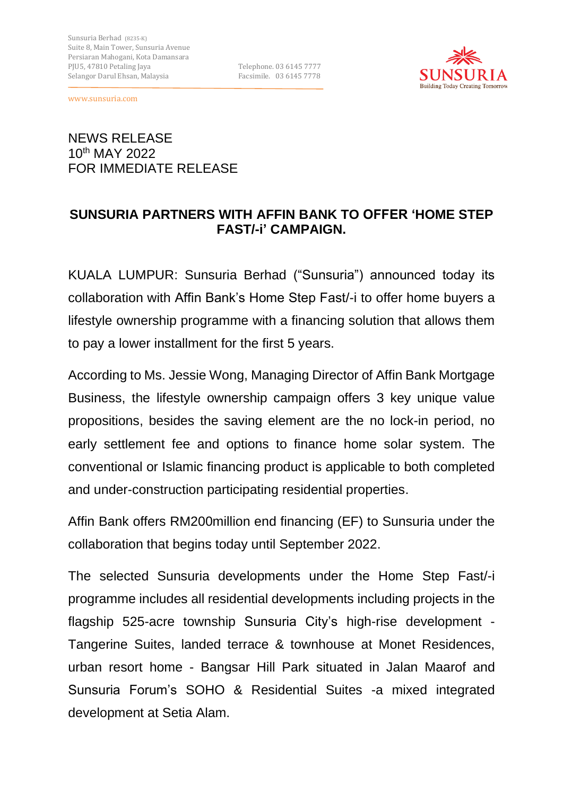

1

# NEWS RELEASE 10th MAY 2022 FOR IMMEDIATE RELEASE

# **SUNSURIA PARTNERS WITH AFFIN BANK TO OFFER 'HOME STEP FAST/-i' CAMPAIGN.**

KUALA LUMPUR: Sunsuria Berhad ("Sunsuria") announced today its collaboration with Affin Bank's Home Step Fast/-i to offer home buyers a lifestyle ownership programme with a financing solution that allows them to pay a lower installment for the first 5 years.

According to Ms. Jessie Wong, Managing Director of Affin Bank Mortgage Business, the lifestyle ownership campaign offers 3 key unique value propositions, besides the saving element are the no lock-in period, no early settlement fee and options to finance home solar system. The conventional or Islamic financing product is applicable to both completed and under-construction participating residential properties.

Affin Bank offers RM200million end financing (EF) to Sunsuria under the collaboration that begins today until September 2022.

The selected Sunsuria developments under the Home Step Fast/-i programme includes all residential developments including projects in the flagship 525-acre township Sunsuria City's high-rise development - Tangerine Suites, landed terrace & townhouse at Monet Residences, urban resort home - Bangsar Hill Park situated in Jalan Maarof and Sunsuria Forum's SOHO & Residential Suites -a mixed integrated development at Setia Alam.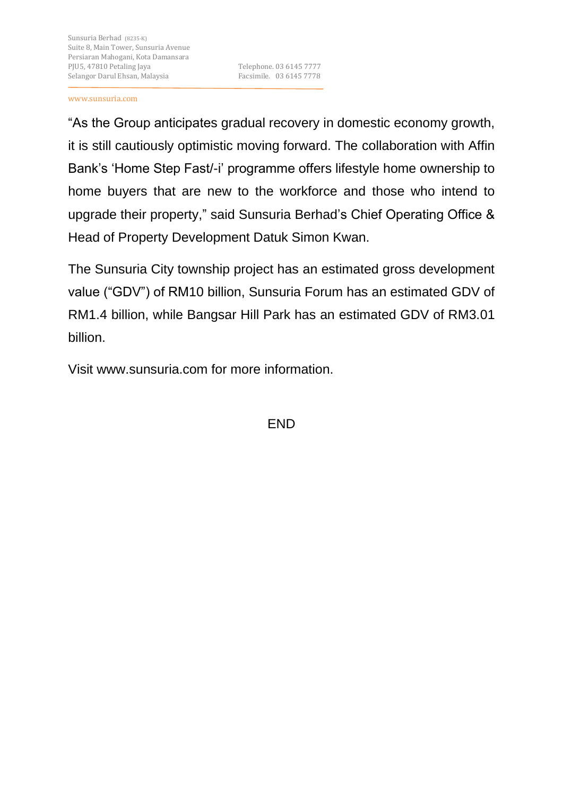1

"As the Group anticipates gradual recovery in domestic economy growth, it is still cautiously optimistic moving forward. The collaboration with Affin Bank's 'Home Step Fast/-i' programme offers lifestyle home ownership to home buyers that are new to the workforce and those who intend to upgrade their property," said Sunsuria Berhad's Chief Operating Office & Head of Property Development Datuk Simon Kwan.

The Sunsuria City township project has an estimated gross development value ("GDV") of RM10 billion, Sunsuria Forum has an estimated GDV of RM1.4 billion, while Bangsar Hill Park has an estimated GDV of RM3.01 billion.

Visit www.sunsuria.com for more information.

END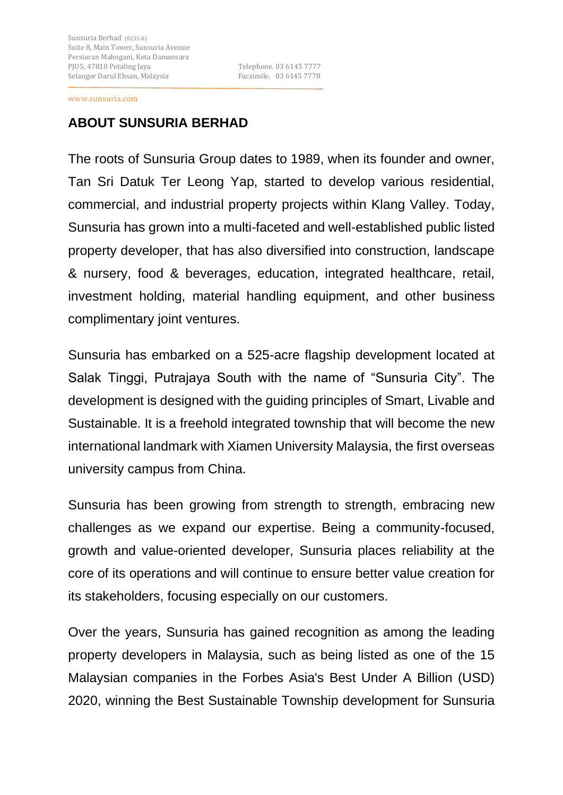1

## **ABOUT SUNSURIA BERHAD**

The roots of Sunsuria Group dates to 1989, when its founder and owner, Tan Sri Datuk Ter Leong Yap, started to develop various residential, commercial, and industrial property projects within Klang Valley. Today, Sunsuria has grown into a multi-faceted and well-established public listed property developer, that has also diversified into construction, landscape & nursery, food & beverages, education, integrated healthcare, retail, investment holding, material handling equipment, and other business complimentary joint ventures.

Sunsuria has embarked on a 525-acre flagship development located at Salak Tinggi, Putrajaya South with the name of "Sunsuria City". The development is designed with the guiding principles of Smart, Livable and Sustainable. It is a freehold integrated township that will become the new international landmark with Xiamen University Malaysia, the first overseas university campus from China.

Sunsuria has been growing from strength to strength, embracing new challenges as we expand our expertise. Being a community-focused, growth and value-oriented developer, Sunsuria places reliability at the core of its operations and will continue to ensure better value creation for its stakeholders, focusing especially on our customers.

Over the years, Sunsuria has gained recognition as among the leading property developers in Malaysia, such as being listed as one of the 15 Malaysian companies in the Forbes Asia's Best Under A Billion (USD) 2020, winning the Best Sustainable Township development for Sunsuria